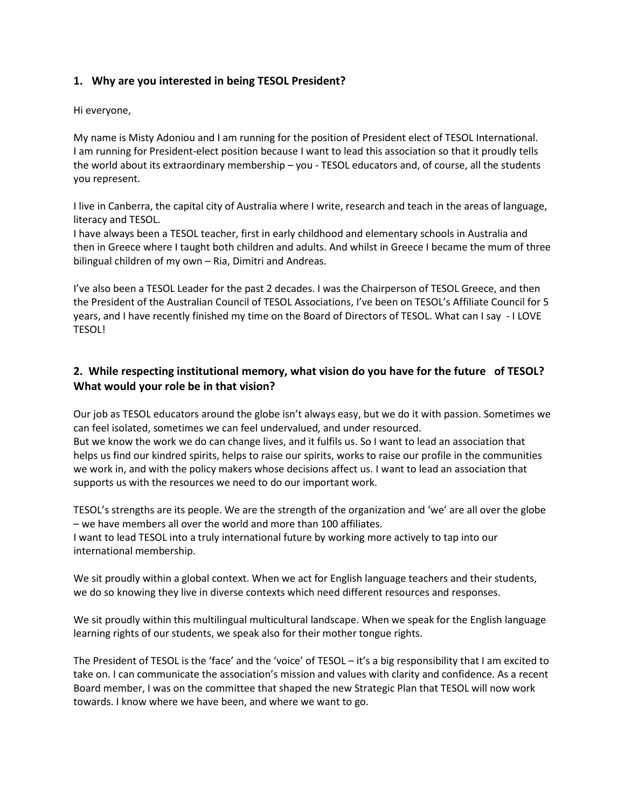## **1. Why are you interested in being TESOL President?**

Hi everyone,

My name is Misty Adoniou and I am running for the position of President elect of TESOL International. I am running for President-elect position because I want to lead this association so that it proudly tells the world about its extraordinary membership – you - TESOL educators and, of course, all the students you represent.

I live in Canberra, the capital city of Australia where I write, research and teach in the areas of language, literacy and TESOL.

I have always been a TESOL teacher, first in early childhood and elementary schools in Australia and then in Greece where I taught both children and adults. And whilst in Greece I became the mum of three bilingual children of my own – Ria, Dimitri and Andreas.

I've also been a TESOL Leader for the past 2 decades. I was the Chairperson of TESOL Greece, and then the President of the Australian Council of TESOL Associations, I've been on TESOL's Affiliate Council for 5 years, and I have recently finished my time on the Board of Directors of TESOL. What can I say - I LOVE TESOL!

## **2. While respecting institutional memory, what vision do you have for the future of TESOL? What would your role be in that vision?**

Our job as TESOL educators around the globe isn't always easy, but we do it with passion. Sometimes we can feel isolated, sometimes we can feel undervalued, and under resourced.

But we know the work we do can change lives, and it fulfils us. So I want to lead an association that helps us find our kindred spirits, helps to raise our spirits, works to raise our profile in the communities we work in, and with the policy makers whose decisions affect us. I want to lead an association that supports us with the resources we need to do our important work.

TESOL's strengths are its people. We are the strength of the organization and 'we' are all over the globe – we have members all over the world and more than 100 affiliates.

I want to lead TESOL into a truly international future by working more actively to tap into our international membership.

We sit proudly within a global context. When we act for English language teachers and their students, we do so knowing they live in diverse contexts which need different resources and responses.

We sit proudly within this multilingual multicultural landscape. When we speak for the English language learning rights of our students, we speak also for their mother tongue rights.

The President of TESOL is the 'face' and the 'voice' of TESOL – it's a big responsibility that I am excited to take on. I can communicate the association's mission and values with clarity and confidence. As a recent Board member, I was on the committee that shaped the new Strategic Plan that TESOL will now work towards. I know where we have been, and where we want to go.